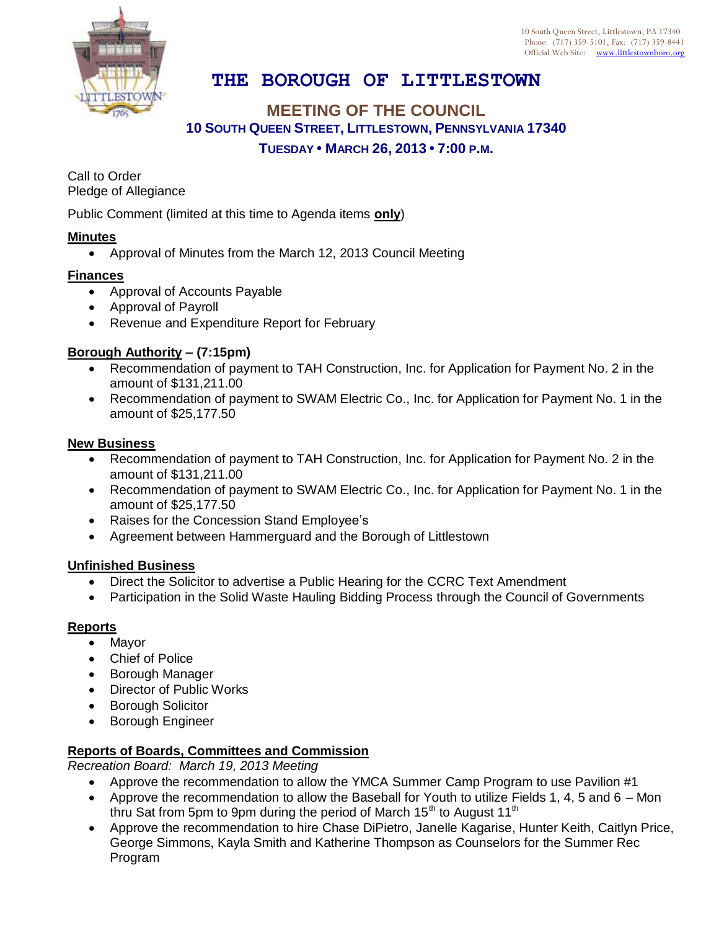10 South Queen Street, Littlestown, PA 17340 Phone: (717) 359-5101, Fax: (717) 359-8441 Official Web Site: [www.littlestownboro.org](http://www.littlestown.us/)

# **THE BOROUGH OF LITTLESTOWN**

## **MEETING OF THE COUNCIL 10 SOUTH QUEEN STREET, LITTLESTOWN, PENNSYLVANIA 17340 TUESDAY • MARCH 26, 2013 • 7:00 P.M.**

Call to Order Pledge of Allegiance

Public Comment (limited at this time to Agenda items **only**)

## **Minutes**

Approval of Minutes from the March 12, 2013 Council Meeting

### **Finances**

- Approval of Accounts Payable
- Approval of Payroll
- Revenue and Expenditure Report for February

### **Borough Authority – (7:15pm)**

- Recommendation of payment to TAH Construction, Inc. for Application for Payment No. 2 in the amount of \$131,211.00
- Recommendation of payment to SWAM Electric Co., Inc. for Application for Payment No. 1 in the amount of \$25,177.50

#### **New Business**

- Recommendation of payment to TAH Construction, Inc. for Application for Payment No. 2 in the amount of \$131,211.00
- Recommendation of payment to SWAM Electric Co., Inc. for Application for Payment No. 1 in the amount of \$25,177.50
- Raises for the Concession Stand Employee's
- Agreement between Hammerguard and the Borough of Littlestown

#### **Unfinished Business**

- Direct the Solicitor to advertise a Public Hearing for the CCRC Text Amendment
- Participation in the Solid Waste Hauling Bidding Process through the Council of Governments

#### **Reports**

- Mayor
- Chief of Police
- Borough Manager
- Director of Public Works
- Borough Solicitor
- **•** Borough Engineer

## **Reports of Boards, Committees and Commission**

*Recreation Board: March 19, 2013 Meeting*

- Approve the recommendation to allow the YMCA Summer Camp Program to use Pavilion #1
- Approve the recommendation to allow the Baseball for Youth to utilize Fields 1, 4, 5 and 6 Mon thru Sat from 5pm to 9pm during the period of March 15<sup>th</sup> to August 11<sup>th</sup>
- Approve the recommendation to hire Chase DiPietro, Janelle Kagarise, Hunter Keith, Caitlyn Price, George Simmons, Kayla Smith and Katherine Thompson as Counselors for the Summer Rec Program